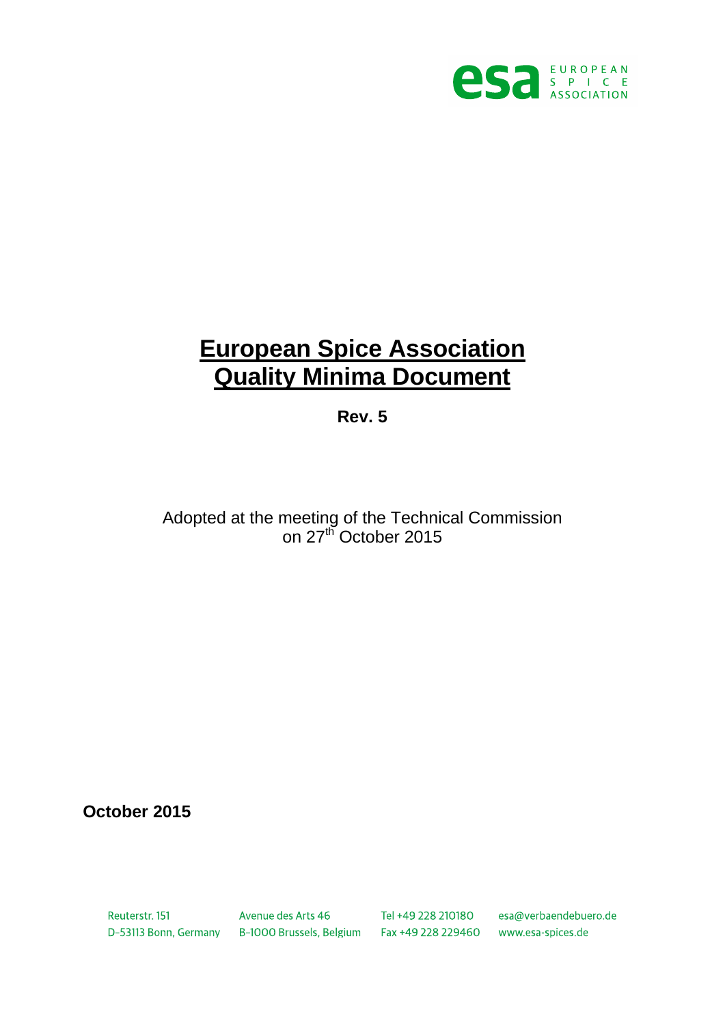

# **European Spice Association Quality Minima Document**

**Rev. 5**

Adopted at the meeting of the Technical Commission on 27<sup>th</sup> October 2015

**October 2015**

Reuterstr, 151

Avenue des Arts 46 Tel +49 228 210180 esa@verbaendebuero.de D-53113 Bonn, Germany B-1000 Brussels, Belgium Fax +49 228 229460 www.esa-spices.de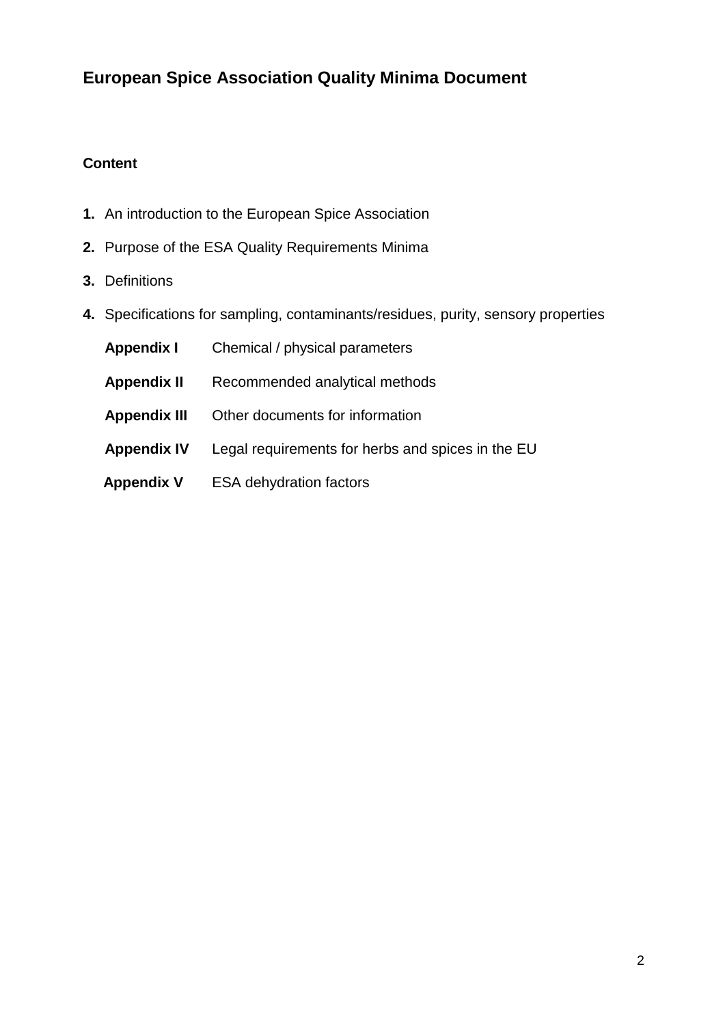# **European Spice Association Quality Minima Document**

# **Content**

- **1.** An introduction to the European Spice Association
- **2.** Purpose of the ESA Quality Requirements Minima
- **3.** Definitions
- **4.** Specifications for sampling, contaminants/residues, purity, sensory properties

| <b>Appendix I</b>   | Chemical / physical parameters                    |
|---------------------|---------------------------------------------------|
| <b>Appendix II</b>  | Recommended analytical methods                    |
| <b>Appendix III</b> | Other documents for information                   |
| <b>Appendix IV</b>  | Legal requirements for herbs and spices in the EU |
| <b>Appendix V</b>   | <b>ESA dehydration factors</b>                    |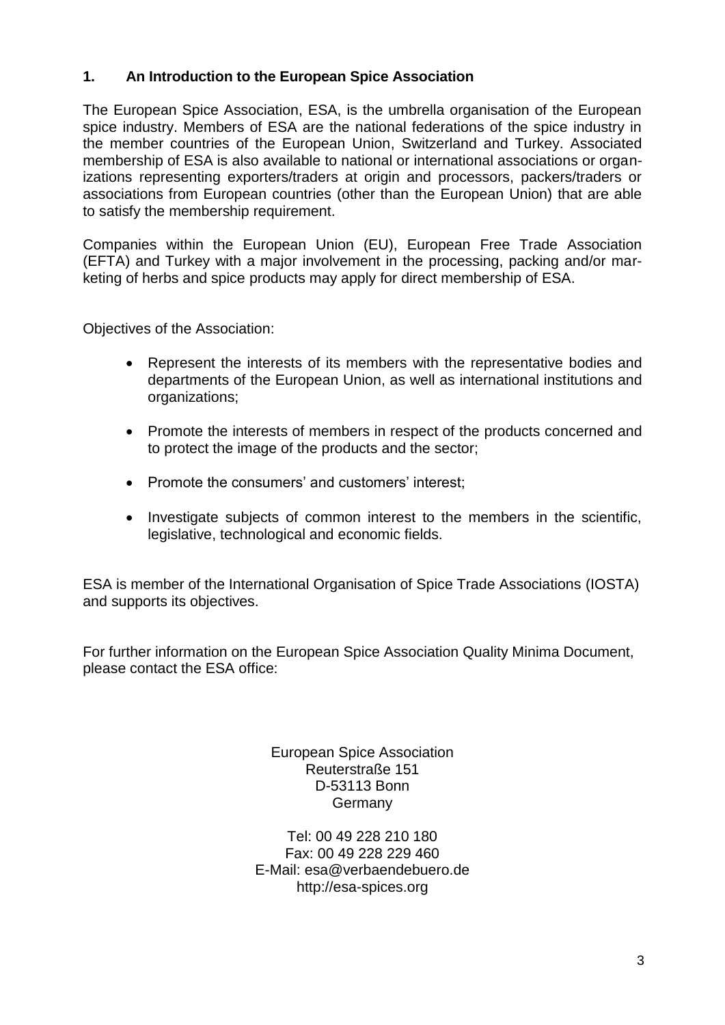# **1. An Introduction to the European Spice Association**

The European Spice Association, ESA, is the umbrella organisation of the European spice industry. Members of ESA are the national federations of the spice industry in the member countries of the European Union, Switzerland and Turkey. Associated membership of ESA is also available to national or international associations or organizations representing exporters/traders at origin and processors, packers/traders or associations from European countries (other than the European Union) that are able to satisfy the membership requirement.

Companies within the European Union (EU), European Free Trade Association (EFTA) and Turkey with a major involvement in the processing, packing and/or marketing of herbs and spice products may apply for direct membership of ESA.

Objectives of the Association:

- Represent the interests of its members with the representative bodies and departments of the European Union, as well as international institutions and organizations;
- Promote the interests of members in respect of the products concerned and to protect the image of the products and the sector;
- Promote the consumers' and customers' interest:
- Investigate subjects of common interest to the members in the scientific, legislative, technological and economic fields.

ESA is member of the International Organisation of Spice Trade Associations (IOSTA) and supports its objectives.

For further information on the European Spice Association Quality Minima Document, please contact the ESA office:

> European Spice Association Reuterstraße 151 D-53113 Bonn **Germany**

Tel: 00 49 228 210 180 Fax: 00 49 228 229 460 E-Mail: esa@verbaendebuero.de http://esa-spices.org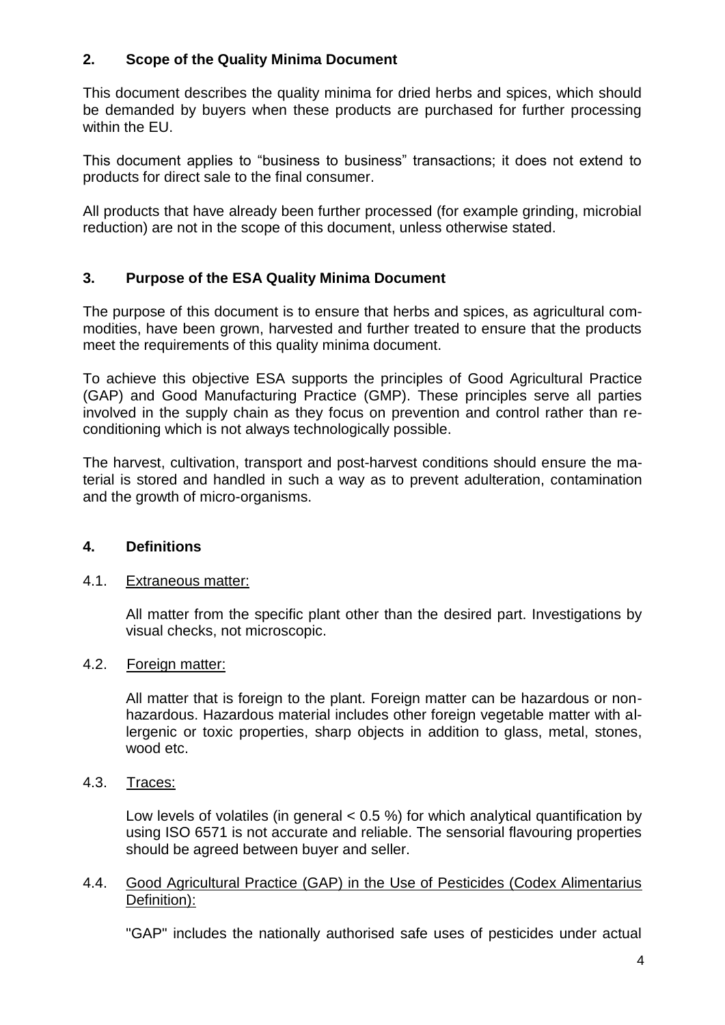# **2. Scope of the Quality Minima Document**

This document describes the quality minima for dried herbs and spices, which should be demanded by buyers when these products are purchased for further processing within the EU.

This document applies to "business to business" transactions; it does not extend to products for direct sale to the final consumer.

All products that have already been further processed (for example grinding, microbial reduction) are not in the scope of this document, unless otherwise stated.

# **3. Purpose of the ESA Quality Minima Document**

The purpose of this document is to ensure that herbs and spices, as agricultural commodities, have been grown, harvested and further treated to ensure that the products meet the requirements of this quality minima document.

To achieve this objective ESA supports the principles of Good Agricultural Practice (GAP) and Good Manufacturing Practice (GMP). These principles serve all parties involved in the supply chain as they focus on prevention and control rather than reconditioning which is not always technologically possible.

The harvest, cultivation, transport and post-harvest conditions should ensure the material is stored and handled in such a way as to prevent adulteration, contamination and the growth of micro-organisms.

# **4. Definitions**

# 4.1. Extraneous matter:

All matter from the specific plant other than the desired part. Investigations by visual checks, not microscopic.

# 4.2. Foreign matter:

All matter that is foreign to the plant. Foreign matter can be hazardous or nonhazardous. Hazardous material includes other foreign vegetable matter with allergenic or toxic properties, sharp objects in addition to glass, metal, stones, wood etc.

4.3. Traces:

Low levels of volatiles (in general  $< 0.5$ %) for which analytical quantification by using ISO 6571 is not accurate and reliable. The sensorial flavouring properties should be agreed between buyer and seller.

#### 4.4. Good Agricultural Practice (GAP) in the Use of Pesticides (Codex Alimentarius Definition):

"GAP" includes the nationally authorised safe uses of pesticides under actual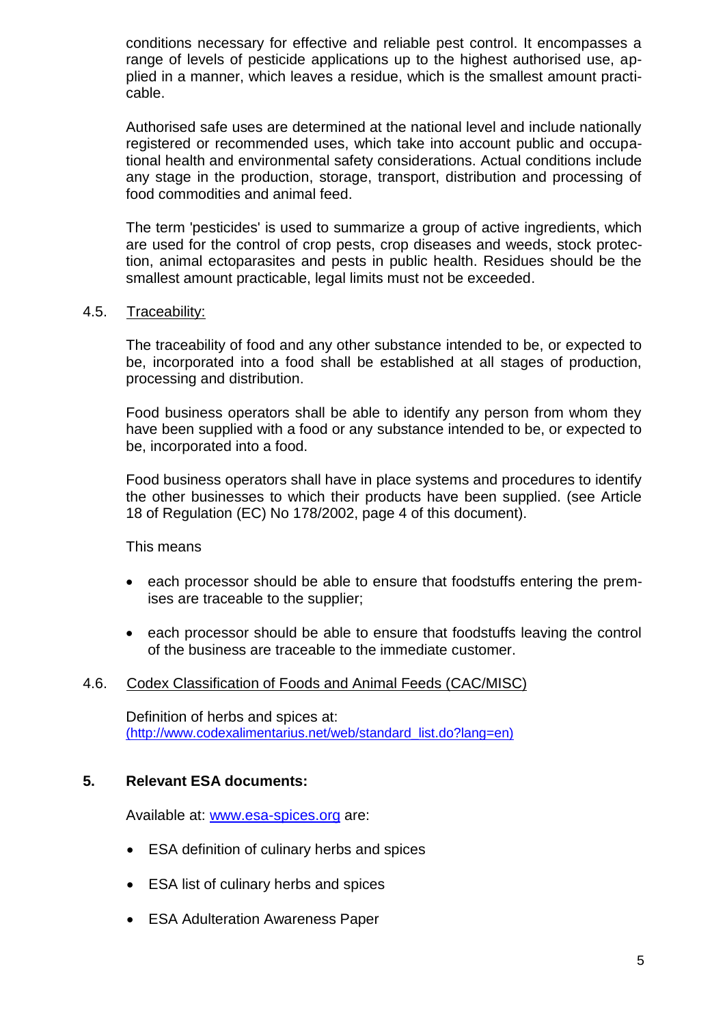conditions necessary for effective and reliable pest control. It encompasses a range of levels of pesticide applications up to the highest authorised use, applied in a manner, which leaves a residue, which is the smallest amount practicable.

Authorised safe uses are determined at the national level and include nationally registered or recommended uses, which take into account public and occupational health and environmental safety considerations. Actual conditions include any stage in the production, storage, transport, distribution and processing of food commodities and animal feed.

The term 'pesticides' is used to summarize a group of active ingredients, which are used for the control of crop pests, crop diseases and weeds, stock protection, animal ectoparasites and pests in public health. Residues should be the smallest amount practicable, legal limits must not be exceeded.

#### 4.5. Traceability:

The traceability of food and any other substance intended to be, or expected to be, incorporated into a food shall be established at all stages of production, processing and distribution.

Food business operators shall be able to identify any person from whom they have been supplied with a food or any substance intended to be, or expected to be, incorporated into a food.

Food business operators shall have in place systems and procedures to identify the other businesses to which their products have been supplied. (see Article 18 of Regulation (EC) No 178/2002, page 4 of this document).

This means

- each processor should be able to ensure that foodstuffs entering the premises are traceable to the supplier;
- each processor should be able to ensure that foodstuffs leaving the control of the business are traceable to the immediate customer.

#### 4.6. Codex Classification of Foods and Animal Feeds [\(CAC/MISC\)](javascript:InfoOpener(41))

Definition of herbs and spices at: [\(http://www.codexalimentarius.net/web/standard\\_list.do?lang=en\)](file://///server/alle/KOLLEGEN/AppData/Local/Microsoft/Windows/Temporary%20Internet%20Files/AppData/Local/Temp/notes903E3D/(http:/www.codexalimentarius.net/web/standard_list.do%3flang=en))

#### **5. Relevant ESA documents:**

Available at: [www.esa-spices.org](http://www.esa-spices.org/) are:

- ESA definition of culinary herbs and spices
- ESA list of culinary herbs and spices
- ESA Adulteration Awareness Paper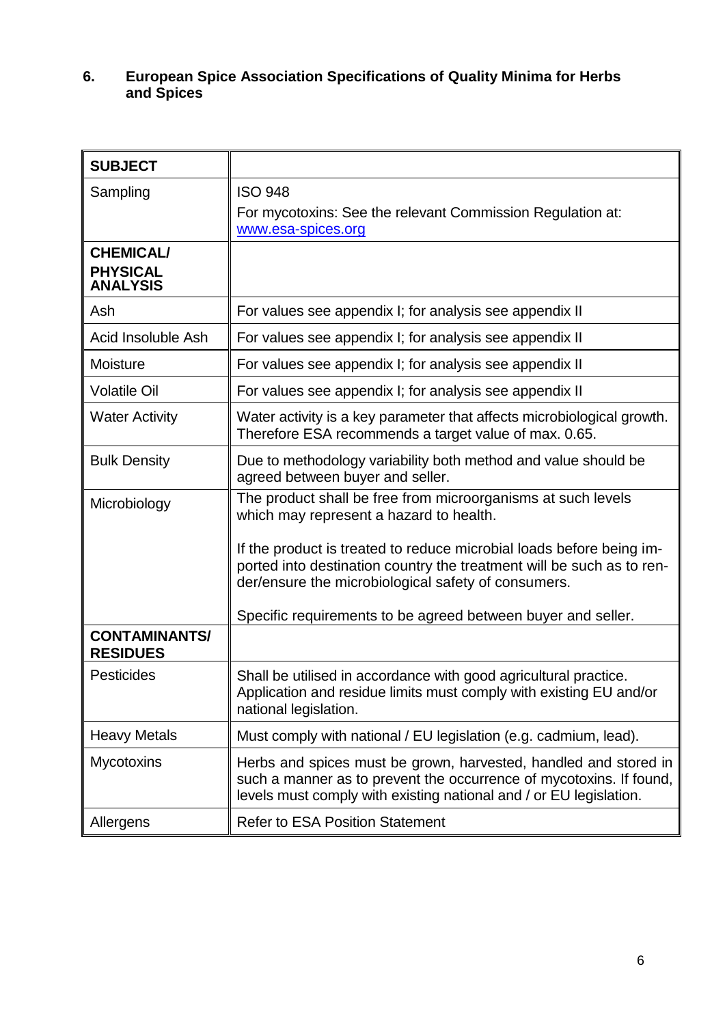# **6. European Spice Association Specifications of Quality Minima for Herbs and Spices**

| <b>SUBJECT</b>                                         |                                                                                                                                                                                                               |
|--------------------------------------------------------|---------------------------------------------------------------------------------------------------------------------------------------------------------------------------------------------------------------|
| Sampling                                               | <b>ISO 948</b><br>For mycotoxins: See the relevant Commission Regulation at:<br>www.esa-spices.org                                                                                                            |
| <b>CHEMICAL/</b><br><b>PHYSICAL</b><br><b>ANALYSIS</b> |                                                                                                                                                                                                               |
| Ash                                                    | For values see appendix I; for analysis see appendix II                                                                                                                                                       |
| Acid Insoluble Ash                                     | For values see appendix I; for analysis see appendix II                                                                                                                                                       |
| Moisture                                               | For values see appendix I; for analysis see appendix II                                                                                                                                                       |
| <b>Volatile Oil</b>                                    | For values see appendix I; for analysis see appendix II                                                                                                                                                       |
| <b>Water Activity</b>                                  | Water activity is a key parameter that affects microbiological growth.<br>Therefore ESA recommends a target value of max. 0.65.                                                                               |
| <b>Bulk Density</b>                                    | Due to methodology variability both method and value should be<br>agreed between buyer and seller.                                                                                                            |
| Microbiology                                           | The product shall be free from microorganisms at such levels<br>which may represent a hazard to health.                                                                                                       |
|                                                        | If the product is treated to reduce microbial loads before being im-<br>ported into destination country the treatment will be such as to ren-<br>der/ensure the microbiological safety of consumers.          |
|                                                        | Specific requirements to be agreed between buyer and seller.                                                                                                                                                  |
| <b>CONTAMINANTS/</b><br><b>RESIDUES</b>                |                                                                                                                                                                                                               |
| <b>Pesticides</b>                                      | Shall be utilised in accordance with good agricultural practice.<br>Application and residue limits must comply with existing EU and/or<br>national legislation.                                               |
| <b>Heavy Metals</b>                                    | Must comply with national / EU legislation (e.g. cadmium, lead).                                                                                                                                              |
| Mycotoxins                                             | Herbs and spices must be grown, harvested, handled and stored in<br>such a manner as to prevent the occurrence of mycotoxins. If found,<br>levels must comply with existing national and / or EU legislation. |
| Allergens                                              | <b>Refer to ESA Position Statement</b>                                                                                                                                                                        |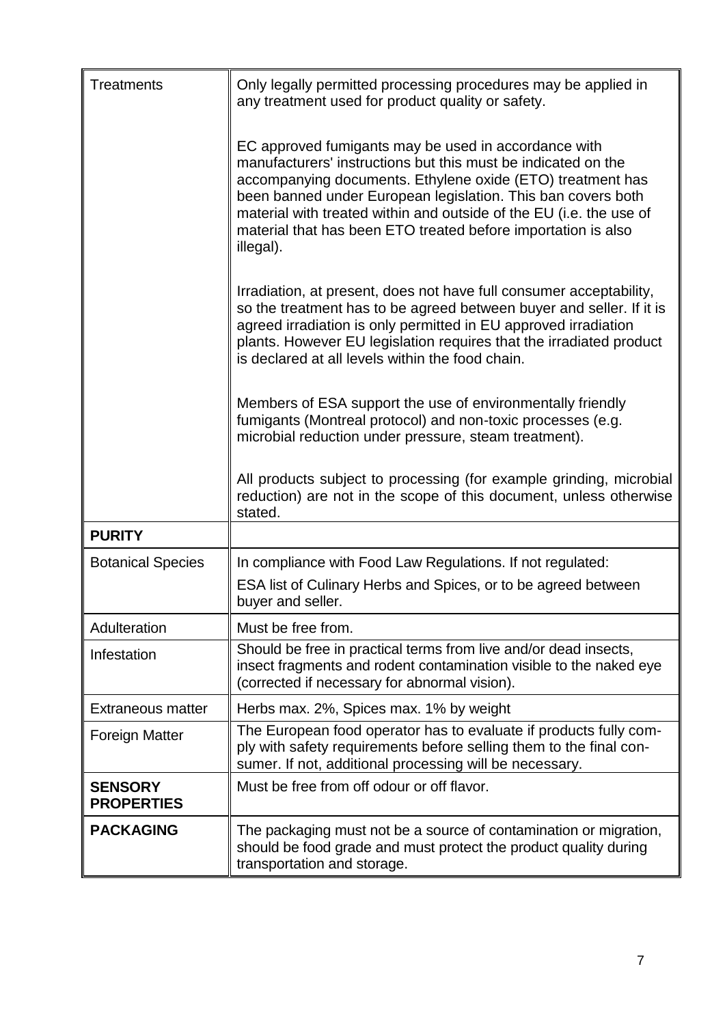| <b>Treatments</b>                   | Only legally permitted processing procedures may be applied in<br>any treatment used for product quality or safety.                                                                                                                                                                                                                                                                                      |  |  |
|-------------------------------------|----------------------------------------------------------------------------------------------------------------------------------------------------------------------------------------------------------------------------------------------------------------------------------------------------------------------------------------------------------------------------------------------------------|--|--|
|                                     | EC approved fumigants may be used in accordance with<br>manufacturers' instructions but this must be indicated on the<br>accompanying documents. Ethylene oxide (ETO) treatment has<br>been banned under European legislation. This ban covers both<br>material with treated within and outside of the EU (i.e. the use of<br>material that has been ETO treated before importation is also<br>illegal). |  |  |
|                                     | Irradiation, at present, does not have full consumer acceptability,<br>so the treatment has to be agreed between buyer and seller. If it is<br>agreed irradiation is only permitted in EU approved irradiation<br>plants. However EU legislation requires that the irradiated product<br>is declared at all levels within the food chain.                                                                |  |  |
|                                     | Members of ESA support the use of environmentally friendly<br>fumigants (Montreal protocol) and non-toxic processes (e.g.<br>microbial reduction under pressure, steam treatment).                                                                                                                                                                                                                       |  |  |
|                                     | All products subject to processing (for example grinding, microbial<br>reduction) are not in the scope of this document, unless otherwise<br>stated.                                                                                                                                                                                                                                                     |  |  |
| <b>PURITY</b>                       |                                                                                                                                                                                                                                                                                                                                                                                                          |  |  |
| <b>Botanical Species</b>            | In compliance with Food Law Regulations. If not regulated:                                                                                                                                                                                                                                                                                                                                               |  |  |
|                                     | ESA list of Culinary Herbs and Spices, or to be agreed between<br>buyer and seller.                                                                                                                                                                                                                                                                                                                      |  |  |
| Adulteration                        | Must be free from.                                                                                                                                                                                                                                                                                                                                                                                       |  |  |
| Infestation                         | Should be free in practical terms from live and/or dead insects,<br>insect fragments and rodent contamination visible to the naked eye<br>(corrected if necessary for abnormal vision).                                                                                                                                                                                                                  |  |  |
| <b>Extraneous matter</b>            | Herbs max. 2%, Spices max. 1% by weight                                                                                                                                                                                                                                                                                                                                                                  |  |  |
| <b>Foreign Matter</b>               | The European food operator has to evaluate if products fully com-<br>ply with safety requirements before selling them to the final con-<br>sumer. If not, additional processing will be necessary.                                                                                                                                                                                                       |  |  |
| <b>SENSORY</b><br><b>PROPERTIES</b> | Must be free from off odour or off flavor.                                                                                                                                                                                                                                                                                                                                                               |  |  |
| <b>PACKAGING</b>                    | The packaging must not be a source of contamination or migration,<br>should be food grade and must protect the product quality during<br>transportation and storage.                                                                                                                                                                                                                                     |  |  |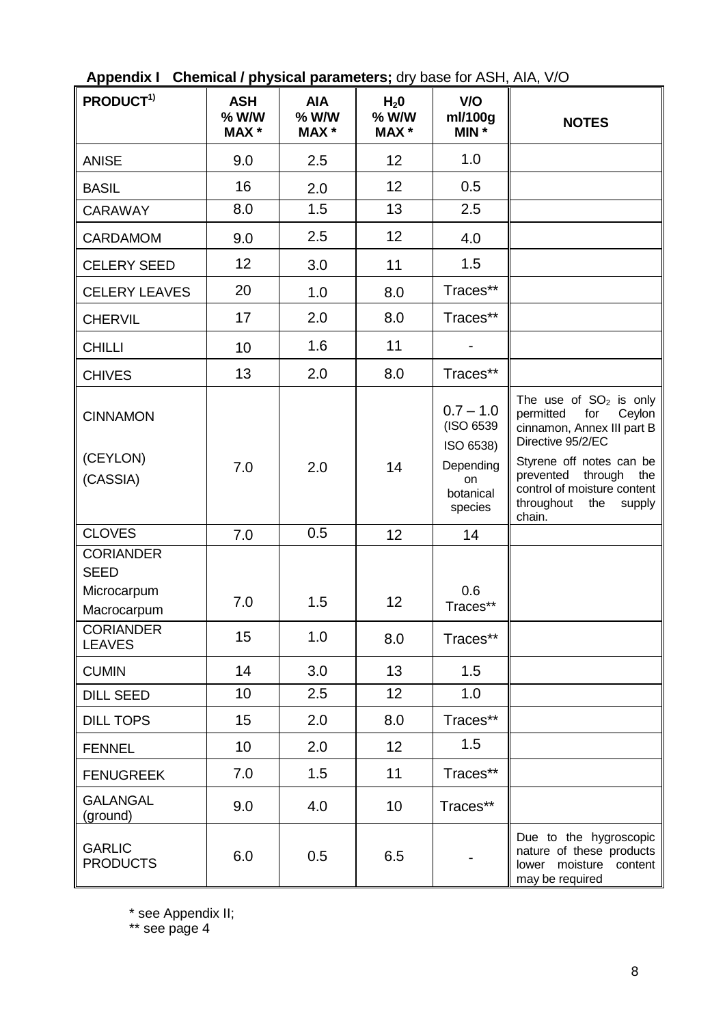| PRODUCT <sup>1)</sup>                                                             | <b>ASH</b><br>$%$ W/W<br><b>MAX</b> * | <b>AIA</b><br>$%$ W/W<br><b>MAX</b> * | H <sub>2</sub> 0<br>$%$ W/W<br><b>MAX</b> * | V/O<br>ml/100g<br>MIN *                                                                 | <b>NOTES</b>                                                                                                                                                                                                                                 |
|-----------------------------------------------------------------------------------|---------------------------------------|---------------------------------------|---------------------------------------------|-----------------------------------------------------------------------------------------|----------------------------------------------------------------------------------------------------------------------------------------------------------------------------------------------------------------------------------------------|
| <b>ANISE</b>                                                                      | 9.0                                   | 2.5                                   | 12                                          | 1.0                                                                                     |                                                                                                                                                                                                                                              |
| <b>BASIL</b>                                                                      | 16                                    | 2.0                                   | 12                                          | 0.5                                                                                     |                                                                                                                                                                                                                                              |
| <b>CARAWAY</b>                                                                    | 8.0                                   | 1.5                                   | 13                                          | 2.5                                                                                     |                                                                                                                                                                                                                                              |
| <b>CARDAMOM</b>                                                                   | 9.0                                   | 2.5                                   | 12                                          | 4.0                                                                                     |                                                                                                                                                                                                                                              |
| <b>CELERY SEED</b>                                                                | 12                                    | 3.0                                   | 11                                          | 1.5                                                                                     |                                                                                                                                                                                                                                              |
| <b>CELERY LEAVES</b>                                                              | 20                                    | 1.0                                   | 8.0                                         | Traces**                                                                                |                                                                                                                                                                                                                                              |
| <b>CHERVIL</b>                                                                    | 17                                    | 2.0                                   | 8.0                                         | Traces**                                                                                |                                                                                                                                                                                                                                              |
| <b>CHILLI</b>                                                                     | 10                                    | 1.6                                   | 11                                          |                                                                                         |                                                                                                                                                                                                                                              |
| <b>CHIVES</b>                                                                     | 13                                    | 2.0                                   | 8.0                                         | Traces**                                                                                |                                                                                                                                                                                                                                              |
| <b>CINNAMON</b><br>(CEYLON)<br>(CASSIA)                                           | 7.0                                   | 2.0                                   | 14                                          | $0.7 - 1.0$<br>(ISO 6539<br>ISO 6538)<br>Depending<br><b>on</b><br>botanical<br>species | The use of $SO2$ is only<br>permitted<br>for<br>Ceylon<br>cinnamon, Annex III part B<br>Directive 95/2/EC<br>Styrene off notes can be<br>through<br>prevented<br>the<br>control of moisture content<br>throughout<br>the<br>supply<br>chain. |
| <b>CLOVES</b>                                                                     | 7.0                                   | 0.5                                   | 12                                          | 14                                                                                      |                                                                                                                                                                                                                                              |
| <b>CORIANDER</b><br><b>SEED</b><br>Microcarpum<br>Macrocarpum<br><b>CORIANDER</b> | 7.0<br>15                             | 1.5<br>1.0                            | 12<br>8.0                                   | 0.6<br>Traces**<br>Traces**                                                             |                                                                                                                                                                                                                                              |
| <b>LEAVES</b>                                                                     |                                       |                                       |                                             |                                                                                         |                                                                                                                                                                                                                                              |
| <b>CUMIN</b>                                                                      | 14                                    | 3.0                                   | 13                                          | 1.5                                                                                     |                                                                                                                                                                                                                                              |
| <b>DILL SEED</b>                                                                  | 10                                    | 2.5                                   | 12 <sub>2</sub>                             | 1.0                                                                                     |                                                                                                                                                                                                                                              |
| <b>DILL TOPS</b>                                                                  | 15                                    | 2.0                                   | 8.0                                         | Traces**                                                                                |                                                                                                                                                                                                                                              |
| <b>FENNEL</b>                                                                     | 10                                    | 2.0                                   | 12                                          | 1.5                                                                                     |                                                                                                                                                                                                                                              |
| <b>FENUGREEK</b>                                                                  | 7.0                                   | 1.5                                   | 11                                          | Traces**                                                                                |                                                                                                                                                                                                                                              |
| <b>GALANGAL</b><br>(ground)                                                       | 9.0                                   | 4.0                                   | 10                                          | Traces**                                                                                |                                                                                                                                                                                                                                              |
| <b>GARLIC</b><br><b>PRODUCTS</b>                                                  | 6.0                                   | 0.5                                   | 6.5                                         |                                                                                         | Due to the hygroscopic<br>nature of these products<br>lower moisture content<br>may be required                                                                                                                                              |

**Appendix I Chemical / physical parameters;** dry base for ASH, AIA, V/O

\* see Appendix II;

\*\* see page 4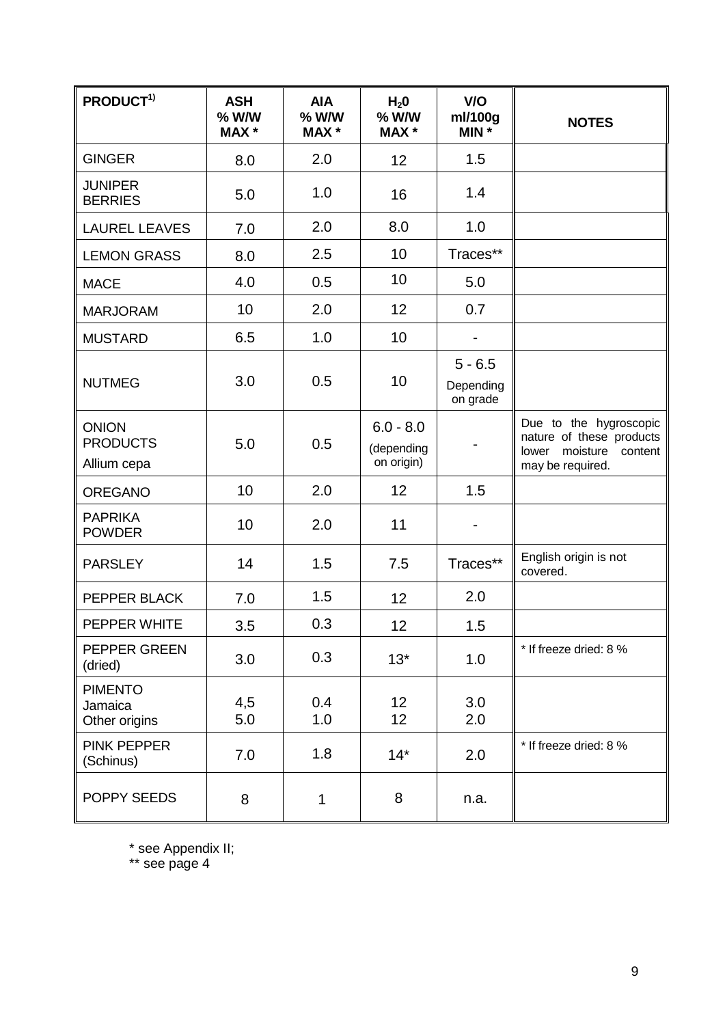| PRODUCT <sup>1)</sup>                          | <b>ASH</b><br>% W/W<br><b>MAX</b> * | <b>AIA</b><br>% W/W<br><b>MAX</b> * | H <sub>2</sub> 0<br>% W/W<br>MAX *      | V/O<br>ml/100g<br>MIN *            | <b>NOTES</b>                                                                                           |
|------------------------------------------------|-------------------------------------|-------------------------------------|-----------------------------------------|------------------------------------|--------------------------------------------------------------------------------------------------------|
| <b>GINGER</b>                                  | 8.0                                 | 2.0                                 | 12                                      | 1.5                                |                                                                                                        |
| <b>JUNIPER</b><br><b>BERRIES</b>               | 5.0                                 | 1.0                                 | 16                                      | 1.4                                |                                                                                                        |
| <b>LAUREL LEAVES</b>                           | 7.0                                 | 2.0                                 | 8.0                                     | 1.0                                |                                                                                                        |
| <b>LEMON GRASS</b>                             | 8.0                                 | 2.5                                 | 10                                      | Traces**                           |                                                                                                        |
| <b>MACE</b>                                    | 4.0                                 | 0.5                                 | 10                                      | 5.0                                |                                                                                                        |
| <b>MARJORAM</b>                                | 10                                  | 2.0                                 | 12                                      | 0.7                                |                                                                                                        |
| <b>MUSTARD</b>                                 | 6.5                                 | 1.0                                 | 10                                      |                                    |                                                                                                        |
| <b>NUTMEG</b>                                  | 3.0                                 | 0.5                                 | 10                                      | $5 - 6.5$<br>Depending<br>on grade |                                                                                                        |
| <b>ONION</b><br><b>PRODUCTS</b><br>Allium cepa | 5.0                                 | 0.5                                 | $6.0 - 8.0$<br>(depending<br>on origin) | ۰                                  | Due to the hygroscopic<br>nature of these products<br>moisture<br>lower<br>content<br>may be required. |
| <b>OREGANO</b>                                 | 10                                  | 2.0                                 | 12                                      | 1.5                                |                                                                                                        |
| <b>PAPRIKA</b><br><b>POWDER</b>                | 10                                  | 2.0                                 | 11                                      | $\qquad \qquad \blacksquare$       |                                                                                                        |
| <b>PARSLEY</b>                                 | 14                                  | 1.5                                 | 7.5                                     | Traces**                           | English origin is not<br>covered.                                                                      |
| PEPPER BLACK                                   | 7.0                                 | 1.5                                 | 12                                      | 2.0                                |                                                                                                        |
| PEPPER WHITE                                   | 3.5                                 | 0.3                                 | 12                                      | 1.5                                |                                                                                                        |
| <b>PEPPER GREEN</b><br>(dried)                 | 3.0                                 | 0.3                                 | $13*$                                   | 1.0                                | * If freeze dried: 8 %                                                                                 |
| <b>PIMENTO</b><br>Jamaica<br>Other origins     | 4,5<br>5.0                          | 0.4<br>1.0                          | 12 <sub>2</sub><br>12 <sub>2</sub>      | 3.0<br>2.0                         |                                                                                                        |
| PINK PEPPER<br>(Schinus)                       | 7.0                                 | 1.8                                 | $14*$                                   | 2.0                                | * If freeze dried: 8 %                                                                                 |
| POPPY SEEDS                                    | 8                                   | 1                                   | 8                                       | n.a.                               |                                                                                                        |

\* see Appendix II;

\*\* see page 4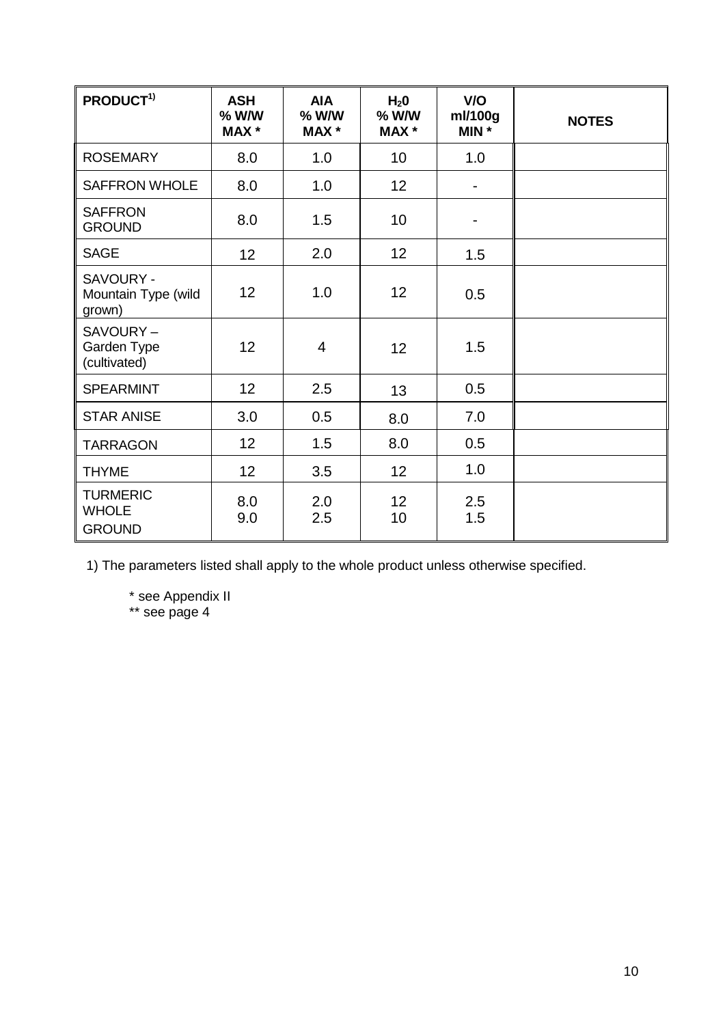| PRODUCT <sup>1)</sup>                            | <b>ASH</b><br>% W/W<br>MAX * | <b>AIA</b><br>$%$ W/W<br><b>MAX</b> * | H <sub>2</sub> 0<br>$%$ W/W<br><b>MAX</b> * | V/O<br>ml/100g<br>MIN *      | <b>NOTES</b> |
|--------------------------------------------------|------------------------------|---------------------------------------|---------------------------------------------|------------------------------|--------------|
| <b>ROSEMARY</b>                                  | 8.0                          | 1.0                                   | 10                                          | 1.0                          |              |
| <b>SAFFRON WHOLE</b>                             | 8.0                          | 1.0                                   | 12 <sub>2</sub>                             | $\qquad \qquad \blacksquare$ |              |
| <b>SAFFRON</b><br><b>GROUND</b>                  | 8.0                          | 1.5                                   | 10                                          | $\overline{\phantom{a}}$     |              |
| <b>SAGE</b>                                      | 12 <sub>2</sub>              | 2.0                                   | 12 <sub>2</sub>                             | 1.5                          |              |
| SAVOURY -<br>Mountain Type (wild<br>grown)       | 12 <sub>2</sub>              | 1.0                                   | 12 <sup>2</sup>                             | 0.5                          |              |
| SAVOURY-<br>Garden Type<br>(cultivated)          | 12 <sub>2</sub>              | $\overline{4}$                        | 12                                          | 1.5                          |              |
| <b>SPEARMINT</b>                                 | 12 <sub>2</sub>              | 2.5                                   | 13                                          | 0.5                          |              |
| <b>STAR ANISE</b>                                | 3.0                          | 0.5                                   | 8.0                                         | 7.0                          |              |
| <b>TARRAGON</b>                                  | 12 <sub>2</sub>              | 1.5                                   | 8.0                                         | 0.5                          |              |
| <b>THYME</b>                                     | 12 <sub>2</sub>              | 3.5                                   | 12                                          | 1.0                          |              |
| <b>TURMERIC</b><br><b>WHOLE</b><br><b>GROUND</b> | 8.0<br>9.0                   | 2.0<br>2.5                            | 12 <sup>2</sup><br>10                       | 2.5<br>1.5                   |              |

1) The parameters listed shall apply to the whole product unless otherwise specified.

\* see Appendix II \*\* see page 4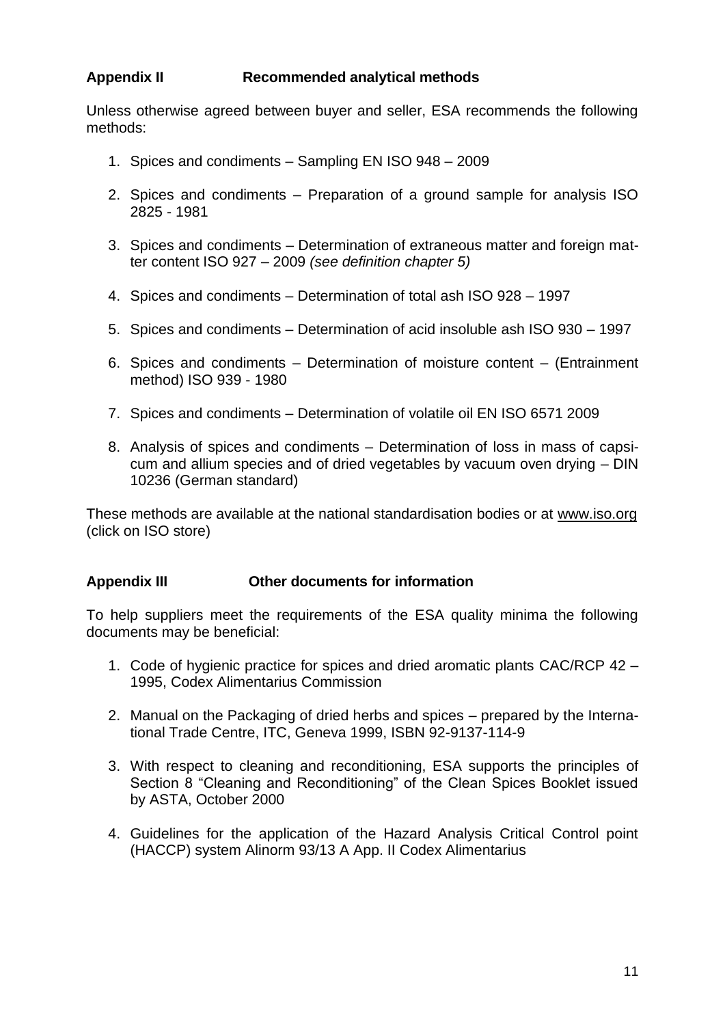# **Appendix II Recommended analytical methods**

Unless otherwise agreed between buyer and seller, ESA recommends the following methods:

- 1. Spices and condiments Sampling EN ISO 948 2009
- 2. Spices and condiments Preparation of a ground sample for analysis ISO 2825 - 1981
- 3. Spices and condiments Determination of extraneous matter and foreign matter content ISO 927 – 2009 *(see definition chapter 5)*
- 4. Spices and condiments Determination of total ash ISO 928 1997
- 5. Spices and condiments Determination of acid insoluble ash ISO 930 1997
- 6. Spices and condiments Determination of moisture content (Entrainment method) ISO 939 - 1980
- 7. Spices and condiments Determination of volatile oil EN ISO 6571 2009
- 8. Analysis of spices and condiments Determination of loss in mass of capsicum and allium species and of dried vegetables by vacuum oven drying – DIN 10236 (German standard)

These methods are available at the national standardisation bodies or at [www.iso.org](http://www.iso.org/) (click on ISO store)

#### **Appendix III Other documents for information**

To help suppliers meet the requirements of the ESA quality minima the following documents may be beneficial:

- 1. Code of hygienic practice for spices and dried aromatic plants CAC/RCP 42 1995, Codex Alimentarius Commission
- 2. Manual on the Packaging of dried herbs and spices prepared by the International Trade Centre, ITC, Geneva 1999, ISBN 92-9137-114-9
- 3. With respect to cleaning and reconditioning, ESA supports the principles of Section 8 "Cleaning and Reconditioning" of the Clean Spices Booklet issued by ASTA, October 2000
- 4. Guidelines for the application of the Hazard Analysis Critical Control point (HACCP) system Alinorm 93/13 A App. II Codex Alimentarius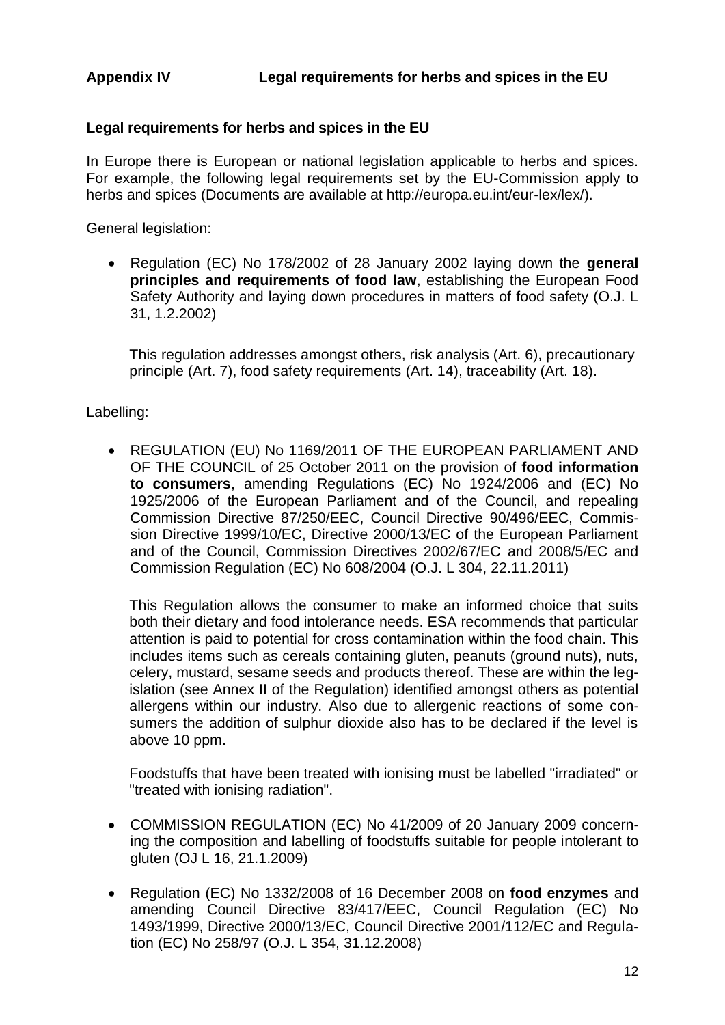# **Legal requirements for herbs and spices in the EU**

In Europe there is European or national legislation applicable to herbs and spices. For example, the following legal requirements set by the EU-Commission apply to herbs and spices (Documents are available at http://europa.eu.int/eur-lex/lex/).

General legislation:

 Regulation (EC) No 178/2002 of 28 January 2002 laying down the **general principles and requirements of food law**, establishing the European Food Safety Authority and laying down procedures in matters of food safety (O.J. L 31, 1.2.2002)

This regulation addresses amongst others, risk analysis (Art. 6), precautionary principle (Art. 7), food safety requirements (Art. 14), traceability (Art. 18).

#### Labelling:

 REGULATION (EU) No 1169/2011 OF THE EUROPEAN PARLIAMENT AND OF THE COUNCIL of 25 October 2011 on the provision of **food information to consumers**, amending Regulations (EC) No 1924/2006 and (EC) No 1925/2006 of the European Parliament and of the Council, and repealing Commission Directive 87/250/EEC, Council Directive 90/496/EEC, Commission Directive 1999/10/EC, Directive 2000/13/EC of the European Parliament and of the Council, Commission Directives 2002/67/EC and 2008/5/EC and Commission Regulation (EC) No 608/2004 (O.J. L 304, 22.11.2011)

This Regulation allows the consumer to make an informed choice that suits both their dietary and food intolerance needs. ESA recommends that particular attention is paid to potential for cross contamination within the food chain. This includes items such as cereals containing gluten, peanuts (ground nuts), nuts, celery, mustard, sesame seeds and products thereof. These are within the legislation (see Annex II of the Regulation) identified amongst others as potential allergens within our industry. Also due to allergenic reactions of some consumers the addition of sulphur dioxide also has to be declared if the level is above 10 ppm.

Foodstuffs that have been treated with ionising must be labelled "irradiated" or "treated with ionising radiation".

- COMMISSION REGULATION (EC) No 41/2009 of 20 January 2009 concerning the composition and labelling of foodstuffs suitable for people intolerant to gluten (OJ L 16, 21.1.2009)
- Regulation (EC) No 1332/2008 of 16 December 2008 on **food enzymes** and amending Council Directive 83/417/EEC, Council Regulation (EC) No 1493/1999, Directive 2000/13/EC, Council Directive 2001/112/EC and Regulation (EC) No 258/97 (O.J. L 354, 31.12.2008)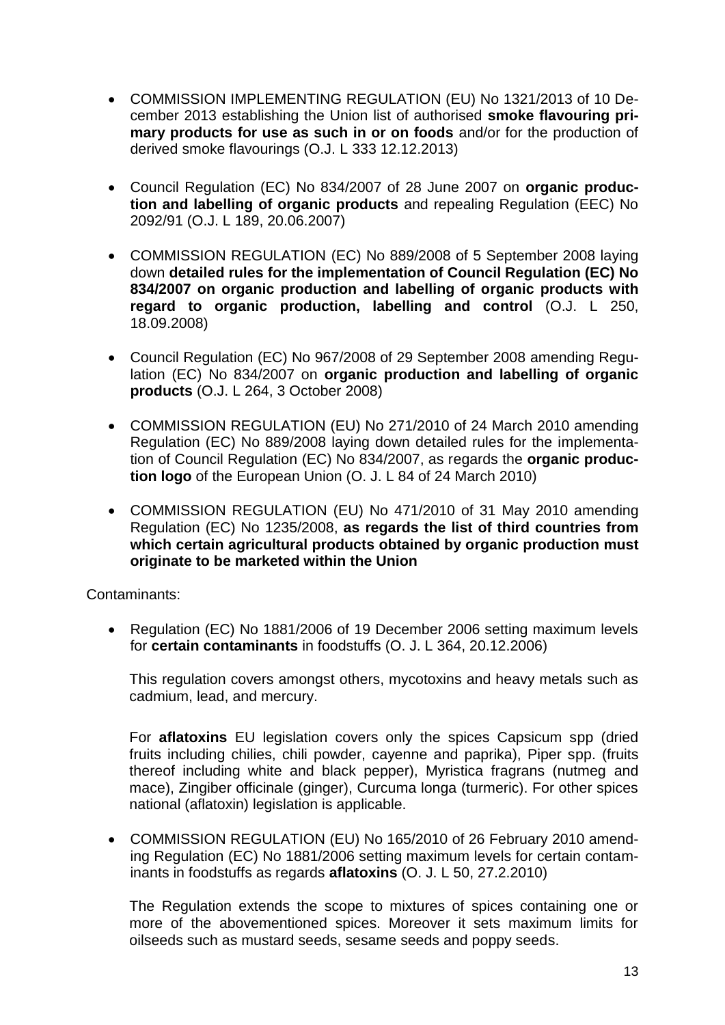- COMMISSION IMPLEMENTING REGULATION (EU) No 1321/2013 of 10 December 2013 establishing the Union list of authorised **smoke flavouring primary products for use as such in or on foods** and/or for the production of derived smoke flavourings (O.J. L 333 12.12.2013)
- Council Regulation (EC) No 834/2007 of 28 June 2007 on **organic production and labelling of organic products** and repealing Regulation (EEC) No 2092/91 (O.J. L 189, 20.06.2007)
- COMMISSION REGULATION (EC) No 889/2008 of 5 September 2008 laying down **detailed rules for the implementation of Council Regulation (EC) No 834/2007 on organic production and labelling of organic products with regard to organic production, labelling and control** (O.J. L 250, 18.09.2008)
- Council Regulation (EC) No 967/2008 of 29 September 2008 amending Regulation (EC) No 834/2007 on **organic production and labelling of organic products** (O.J. L 264, 3 October 2008)
- COMMISSION REGULATION (EU) No 271/2010 of 24 March 2010 amending Regulation (EC) No 889/2008 laying down detailed rules for the implementation of Council Regulation (EC) No 834/2007, as regards the **organic production logo** of the European Union (O. J. L 84 of 24 March 2010)
- COMMISSION REGULATION (EU) No 471/2010 of 31 May 2010 amending Regulation (EC) No 1235/2008, **as regards the list of third countries from which certain agricultural products obtained by organic production must originate to be marketed within the Union**

Contaminants:

 Regulation (EC) No 1881/2006 of 19 December 2006 setting maximum levels for **certain contaminants** in foodstuffs (O. J. L 364, 20.12.2006)

This regulation covers amongst others, mycotoxins and heavy metals such as cadmium, lead, and mercury.

For **aflatoxins** EU legislation covers only the spices Capsicum spp (dried fruits including chilies, chili powder, cavenne and paprika). Piper spp. (fruits thereof including white and black pepper), Myristica fragrans (nutmeg and mace), Zingiber officinale (ginger), Curcuma longa (turmeric). For other spices national (aflatoxin) legislation is applicable.

 COMMISSION REGULATION (EU) No 165/2010 of 26 February 2010 amending Regulation (EC) No 1881/2006 setting maximum levels for certain contaminants in foodstuffs as regards **aflatoxins** (O. J. L 50, 27.2.2010)

The Regulation extends the scope to mixtures of spices containing one or more of the abovementioned spices. Moreover it sets maximum limits for oilseeds such as mustard seeds, sesame seeds and poppy seeds.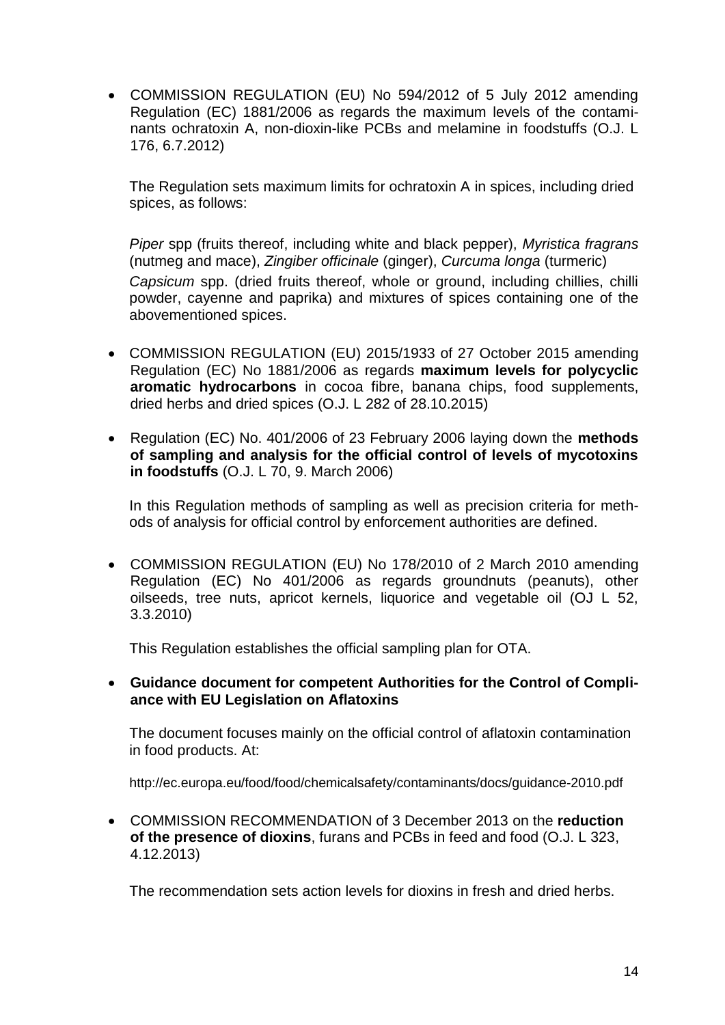COMMISSION REGULATION (EU) No 594/2012 of 5 July 2012 amending Regulation (EC) 1881/2006 as regards the maximum levels of the contaminants ochratoxin A, non-dioxin-like PCBs and melamine in foodstuffs (O.J. L 176, 6.7.2012)

The Regulation sets maximum limits for ochratoxin A in spices, including dried spices, as follows:

*Piper* spp (fruits thereof, including white and black pepper), *Myristica fragrans*  (nutmeg and mace), *Zingiber officinale* (ginger), *Curcuma longa* (turmeric) *Capsicum* spp. (dried fruits thereof, whole or ground, including chillies, chilli powder, cayenne and paprika) and mixtures of spices containing one of the abovementioned spices.

- COMMISSION REGULATION (EU) 2015/1933 of 27 October 2015 amending Regulation (EC) No 1881/2006 as regards **maximum levels for polycyclic aromatic hydrocarbons** in cocoa fibre, banana chips, food supplements, dried herbs and dried spices (O.J. L 282 of 28.10.2015)
- Regulation (EC) No. 401/2006 of 23 February 2006 laying down the **methods of sampling and analysis for the official control of levels of mycotoxins in foodstuffs** (O.J. L 70, 9. March 2006)

In this Regulation methods of sampling as well as precision criteria for methods of analysis for official control by enforcement authorities are defined.

 COMMISSION REGULATION (EU) No 178/2010 of 2 March 2010 amending Regulation (EC) No 401/2006 as regards groundnuts (peanuts), other oilseeds, tree nuts, apricot kernels, liquorice and vegetable oil (OJ L 52, 3.3.2010)

This Regulation establishes the official sampling plan for OTA.

#### **Guidance document for competent Authorities for the Control of Compliance with EU Legislation on Aflatoxins**

The document focuses mainly on the official control of aflatoxin contamination in food products. At:

http://ec.europa.eu/food/food/chemicalsafety/contaminants/docs/guidance-2010.pdf

 COMMISSION RECOMMENDATION of 3 December 2013 on the **reduction of the presence of dioxins**, furans and PCBs in feed and food (O.J. L 323, 4.12.2013)

The recommendation sets action levels for dioxins in fresh and dried herbs.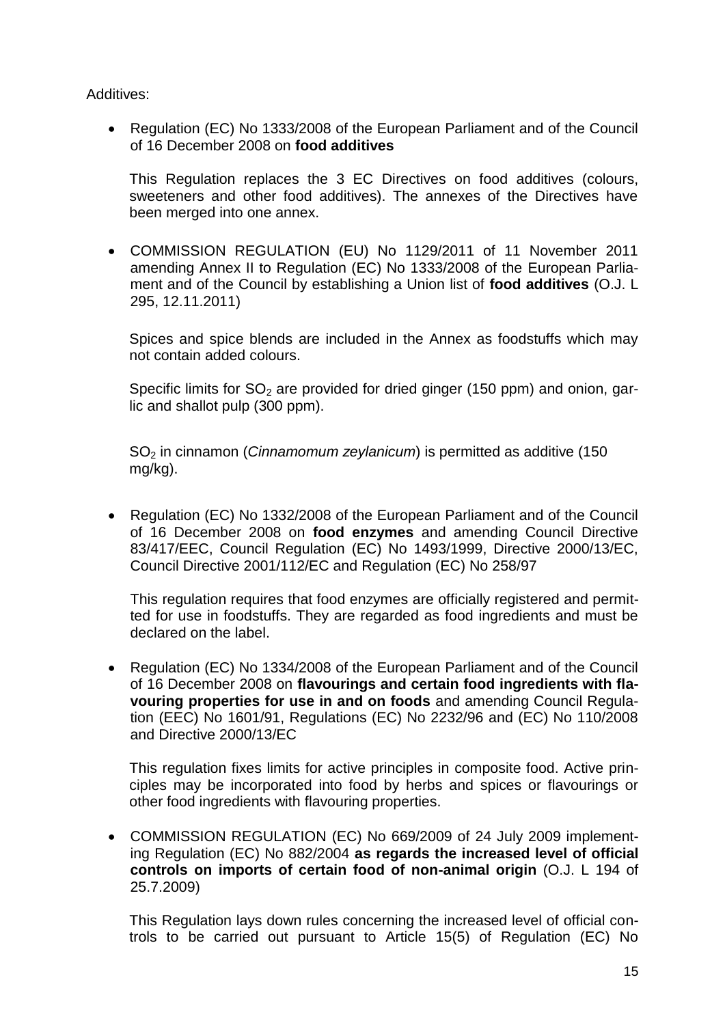Additives:

• Regulation (EC) No 1333/2008 of the European Parliament and of the Council of 16 December 2008 on **food additives**

This Regulation replaces the 3 EC Directives on food additives (colours, sweeteners and other food additives). The annexes of the Directives have been merged into one annex.

 COMMISSION REGULATION (EU) No 1129/2011 of 11 November 2011 amending Annex II to Regulation (EC) No 1333/2008 of the European Parliament and of the Council by establishing a Union list of **food additives** (O.J. L 295, 12.11.2011)

Spices and spice blends are included in the Annex as foodstuffs which may not contain added colours.

Specific limits for  $SO<sub>2</sub>$  are provided for dried ginger (150 ppm) and onion, garlic and shallot pulp (300 ppm).

SO<sup>2</sup> in cinnamon (*Cinnamomum zeylanicum*) is permitted as additive (150 mg/kg).

 Regulation (EC) No 1332/2008 of the European Parliament and of the Council of 16 December 2008 on **food enzymes** and amending Council Directive 83/417/EEC, Council Regulation (EC) No 1493/1999, Directive 2000/13/EC, Council Directive 2001/112/EC and Regulation (EC) No 258/97

This regulation requires that food enzymes are officially registered and permitted for use in foodstuffs. They are regarded as food ingredients and must be declared on the label.

 Regulation (EC) No 1334/2008 of the European Parliament and of the Council of 16 December 2008 on **flavourings and certain food ingredients with flavouring properties for use in and on foods** and amending Council Regulation (EEC) No 1601/91, Regulations (EC) No 2232/96 and (EC) No 110/2008 and Directive 2000/13/EC

This regulation fixes limits for active principles in composite food. Active principles may be incorporated into food by herbs and spices or flavourings or other food ingredients with flavouring properties.

 COMMISSION REGULATION (EC) No 669/2009 of 24 July 2009 implementing Regulation (EC) No 882/2004 **as regards the increased level of official controls on imports of certain food of non-animal origin** (O.J. L 194 of 25.7.2009)

This Regulation lays down rules concerning the increased level of official controls to be carried out pursuant to Article 15(5) of Regulation (EC) No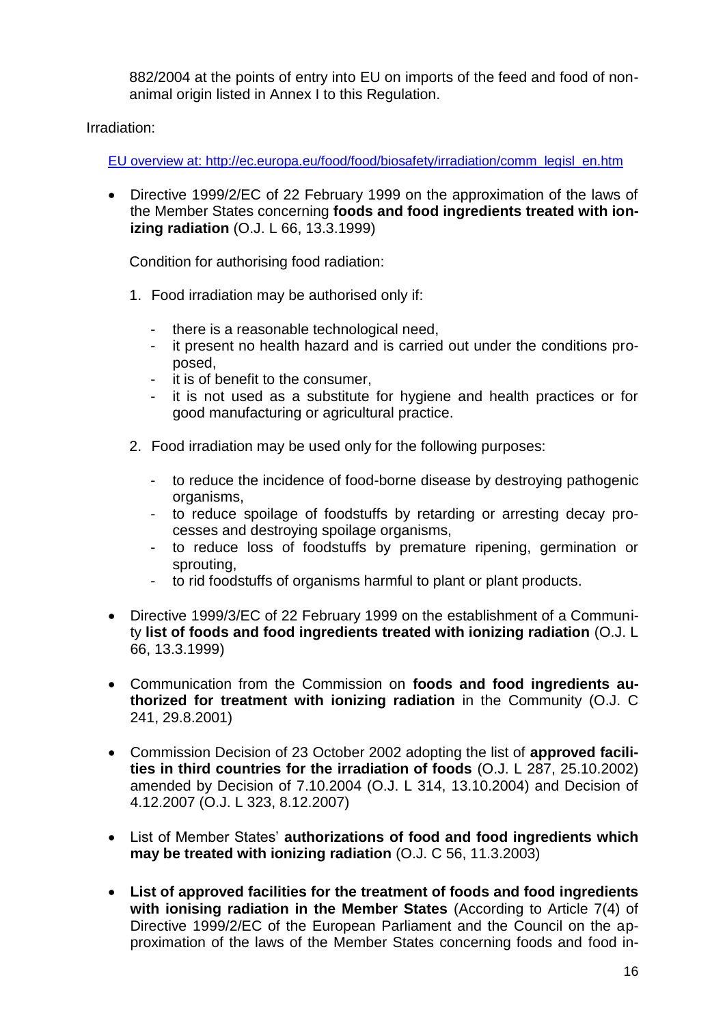882/2004 at the points of entry into EU on imports of the feed and food of nonanimal origin listed in Annex I to this Regulation.

Irradiation:

[EU overview at: http://ec.europa.eu/food/food/biosafety/irradiation/comm\\_legisl\\_en.htm](file://///server/alle/KOLLEGEN/AppData/Local/Microsoft/Windows/Temporary%20Internet%20Files/AppData/Local/Temp/notes903E3D/EU%20overview%20at:%20http:/ec.europa.eu/food/food/biosafety/irradiation/comm_legisl_en.htm)

 Directive 1999/2/EC of 22 February 1999 on the approximation of the laws of the Member States concerning **foods and food ingredients treated with ionizing radiation** (O.J. L 66, 13.3.1999)

Condition for authorising food radiation:

- 1. Food irradiation may be authorised only if:
	- there is a reasonable technological need,
	- it present no health hazard and is carried out under the conditions proposed,
	- it is of benefit to the consumer,
	- it is not used as a substitute for hygiene and health practices or for good manufacturing or agricultural practice.
- 2. Food irradiation may be used only for the following purposes:
	- to reduce the incidence of food-borne disease by destroying pathogenic organisms,
	- to reduce spoilage of foodstuffs by retarding or arresting decay processes and destroying spoilage organisms,
	- to reduce loss of foodstuffs by premature ripening, germination or sprouting,
	- to rid foodstuffs of organisms harmful to plant or plant products.
- Directive 1999/3/EC of 22 February 1999 on the establishment of a Community **list of foods and food ingredients treated with ionizing radiation** (O.J. L 66, 13.3.1999)
- Communication from the Commission on **foods and food ingredients authorized for treatment with ionizing radiation** in the Community (O.J. C 241, 29.8.2001)
- Commission Decision of 23 October 2002 adopting the list of **approved facilities in third countries for the irradiation of foods** (O.J. L 287, 25.10.2002) amended by Decision of 7.10.2004 (O.J. L 314, 13.10.2004) and Decision of 4.12.2007 (O.J. L 323, 8.12.2007)
- List of Member States' **authorizations of food and food ingredients which may be treated with ionizing radiation** (O.J. C 56, 11.3.2003)
- **List of approved facilities for the treatment of foods and food ingredients with ionising radiation in the Member States** (According to Article 7(4) of Directive 1999/2/EC of the European Parliament and the Council on the approximation of the laws of the Member States concerning foods and food in-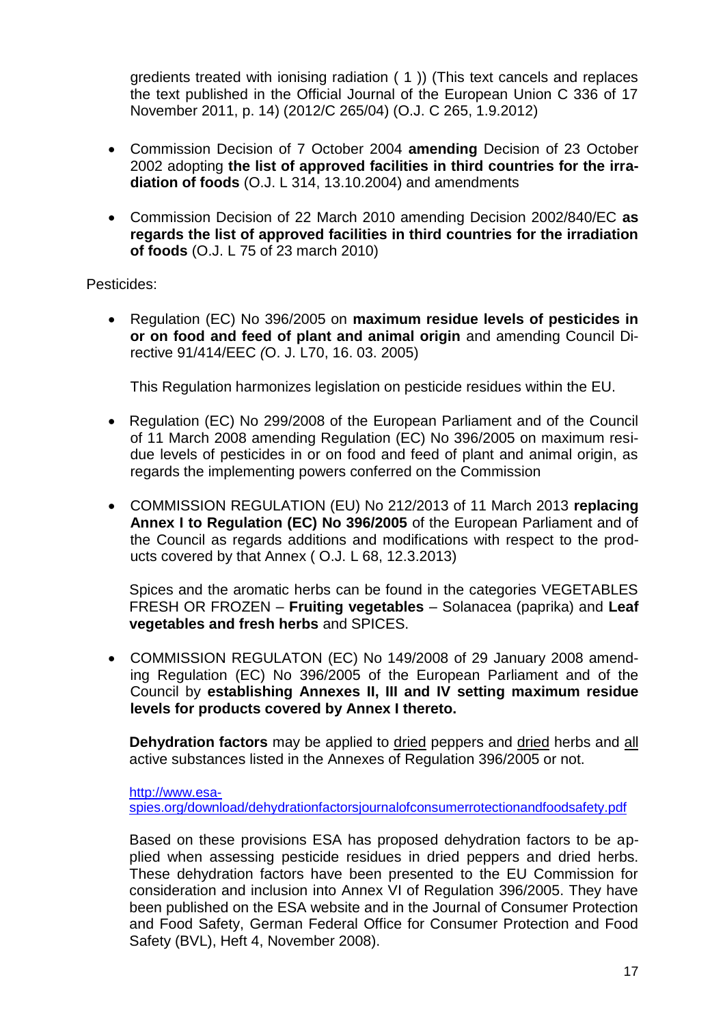gredients treated with ionising radiation ( 1 )) (This text cancels and replaces the text published in the Official Journal of the European Union C 336 of 17 November 2011, p. 14) (2012/C 265/04) (O.J. C 265, 1.9.2012)

- Commission Decision of 7 October 2004 **amending** Decision of 23 October 2002 adopting **the list of approved facilities in third countries for the irradiation of foods** (O.J. L 314, 13.10.2004) and amendments
- Commission Decision of 22 March 2010 amending Decision 2002/840/EC **as regards the list of approved facilities in third countries for the irradiation of foods** (O.J. L 75 of 23 march 2010)

Pesticides:

 Regulation (EC) No 396/2005 on **maximum residue levels of pesticides in or on food and feed of plant and animal origin** and amending Council Directive 91/414/EEC *(*O. J. L70, 16. 03. 2005)

This Regulation harmonizes legislation on pesticide residues within the EU.

- [Regulation \(EC\) No 299/2008 of the European Parliament and of the Council](http://eur-lex.europa.eu/LexUriServ/LexUriServ.do?uri=CELEX:32008R0299:EN:NOT) of 11 March 2008 amending Regulation (EC) No 396/2005 on maximum residue levels of pesticides in or on food and feed of plant and animal origin, as regards the implementing powers conferred on the Commission
- COMMISSION REGULATION (EU) No 212/2013 of 11 March 2013 **replacing Annex I to Regulation (EC) No 396/2005** of the European Parliament and of the Council as regards additions and modifications with respect to the products covered by that Annex ( O.J. L 68, 12.3.2013)

Spices and the aromatic herbs can be found in the categories VEGETABLES FRESH OR FROZEN – **Fruiting vegetables** – Solanacea (paprika) and **Leaf vegetables and fresh herbs** and SPICES.

 [COMMISSION REGULATON](http://eur-lex.europa.eu/LexUriServ/LexUriServ.do?uri=CELEX:32008R0149:EN:NOT) (EC) No 149/2008 of 29 January 2008 amending Regulation (EC) No 396/2005 of the European Parliament and of the Council by **establishing Annexes II, III and IV setting maximum residue levels for products covered by Annex I thereto.** 

**Dehydration factors** may be applied to dried peppers and dried herbs and all active substances listed in the Annexes of Regulation 396/2005 or not.

[http://www.esa](http://www.esa-spies.org/download/dehydrationfactorsjournalofconsumerrotectionandfoodsafety.pdf)[spies.org/download/dehydrationfactorsjournalofconsumerrotectionandfoodsafety.pdf](http://www.esa-spies.org/download/dehydrationfactorsjournalofconsumerrotectionandfoodsafety.pdf)

Based on these provisions ESA has proposed dehydration factors to be applied when assessing pesticide residues in dried peppers and dried herbs. These dehydration factors have been presented to the EU Commission for consideration and inclusion into Annex VI of Regulation 396/2005. They have been published on the ESA website and in the Journal of Consumer Protection and Food Safety, German Federal Office for Consumer Protection and Food Safety (BVL), Heft 4, November 2008).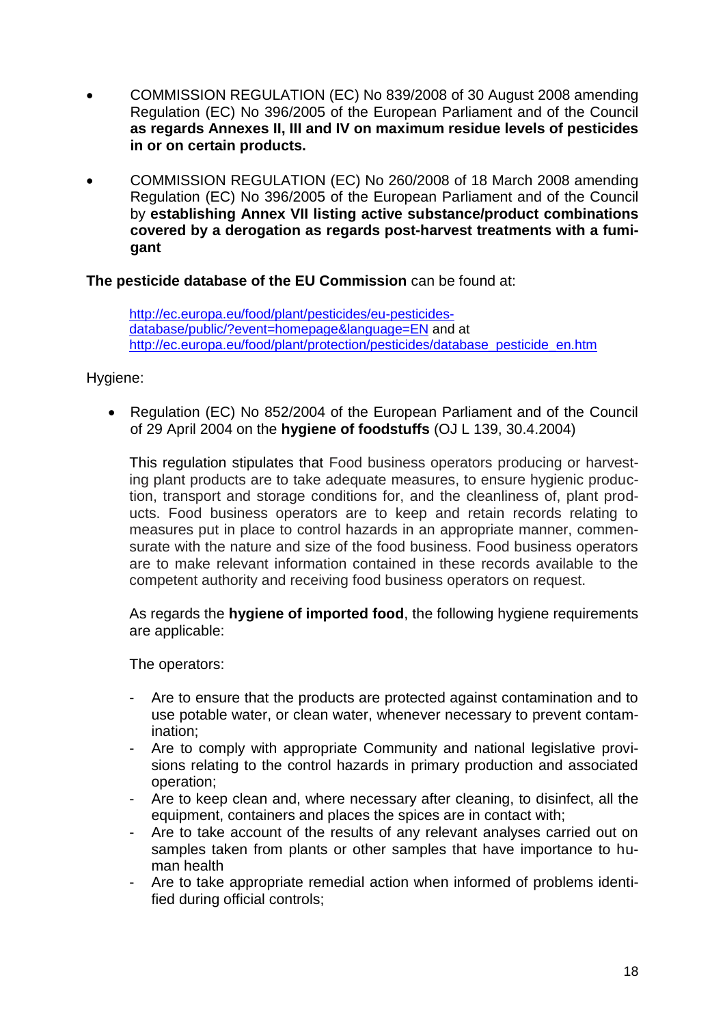- [COMMISSION REGULATION](http://eur-lex.europa.eu/LexUriServ/LexUriServ.do?uri=CELEX:32008R0839:EN:NOT) (EC) No 839/2008 of 30 August 2008 amending Regulation (EC) No 396/2005 of the European Parliament and of the Council **as regards Annexes II, III and IV on maximum residue levels of pesticides in or on certain products.**
- [COMMISSION REGULATION](http://eur-lex.europa.eu/LexUriServ/LexUriServ.do?uri=CELEX:32008R0260:EN:NOT) (EC) No 260/2008 of 18 March 2008 amending Regulation (EC) No 396/2005 of the European Parliament and of the Council by **establishing Annex VII listing active substance/product combinations covered by a derogation as regards post-harvest treatments with a fumigant**

**The pesticide database of the EU Commission** can be found at:

[http://ec.europa.eu/food/plant/pesticides/eu-pesticides](http://ec.europa.eu/food/plant/pesticides/eu-pesticides-database/public/?event=homepage&language=EN)[database/public/?event=homepage&language=EN](http://ec.europa.eu/food/plant/pesticides/eu-pesticides-database/public/?event=homepage&language=EN) and at [http://ec.europa.eu/food/plant/protection/pesticides/database\\_pesticide\\_en.htm](http://ec.europa.eu/food/plant/protection/pesticides/database_pesticide_en.htm)

#### Hygiene:

 Regulation (EC) No 852/2004 of the European Parliament and of the Council of 29 April 2004 on the **hygiene of foodstuffs** (OJ L 139, 30.4.2004)

This regulation stipulates that Food business operators producing or harvesting plant products are to take adequate measures, to ensure hygienic production, transport and storage conditions for, and the cleanliness of, plant products. Food business operators are to keep and retain records relating to measures put in place to control hazards in an appropriate manner, commensurate with the nature and size of the food business. Food business operators are to make relevant information contained in these records available to the competent authority and receiving food business operators on request.

As regards the **hygiene of imported food**, the following hygiene requirements are applicable:

The operators:

- Are to ensure that the products are protected against contamination and to use potable water, or clean water, whenever necessary to prevent contamination;
- Are to comply with appropriate Community and national legislative provisions relating to the control hazards in primary production and associated operation;
- Are to keep clean and, where necessary after cleaning, to disinfect, all the equipment, containers and places the spices are in contact with;
- Are to take account of the results of any relevant analyses carried out on samples taken from plants or other samples that have importance to human health
- Are to take appropriate remedial action when informed of problems identified during official controls;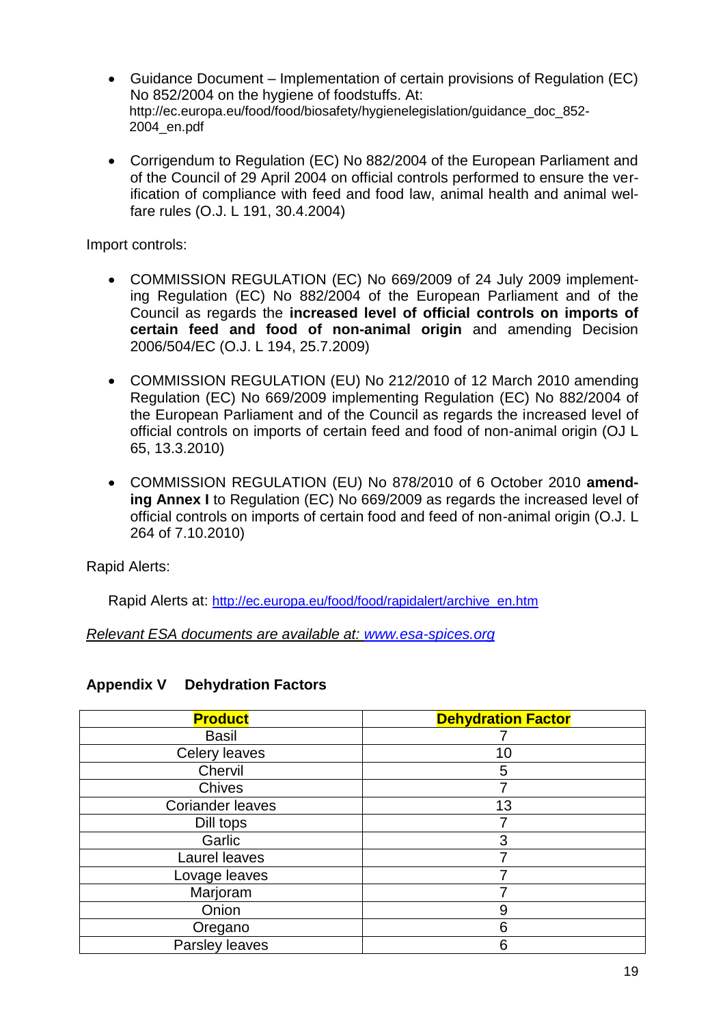- Guidance Document Implementation of certain provisions of Regulation (EC) No 852/2004 on the hygiene of foodstuffs. At: http://ec.europa.eu/food/food/biosafety/hygienelegislation/guidance\_doc\_852- 2004\_en.pdf
- Corrigendum to Regulation (EC) No 882/2004 of the European Parliament and of the Council of 29 April 2004 on official controls performed to ensure the verification of compliance with feed and food law, animal health and animal welfare rules (O.J. L 191, 30.4.2004)

Import controls:

- COMMISSION REGULATION (EC) No 669/2009 of 24 July 2009 implementing Regulation (EC) No 882/2004 of the European Parliament and of the Council as regards the **increased level of official controls on imports of certain feed and food of non-animal origin** and amending Decision 2006/504/EC (O.J. L 194, 25.7.2009)
- COMMISSION REGULATION (EU) No 212/2010 of 12 March 2010 amending Regulation (EC) No 669/2009 implementing Regulation (EC) No 882/2004 of the European Parliament and of the Council as regards the increased level of official controls on imports of certain feed and food of non-animal origin (OJ L 65, 13.3.2010)
- COMMISSION REGULATION (EU) No 878/2010 of 6 October 2010 **amending Annex I** to Regulation (EC) No 669/2009 as regards the increased level of official controls on imports of certain food and feed of non-animal origin (O.J. L 264 of 7.10.2010)

Rapid Alerts:

Rapid Alerts at: [http://ec.europa.eu/food/food/rapidalert/archive\\_en.htm](http://ec.europa.eu/food/food/rapidalert/archive_en.htm)

*Relevant ESA documents are available at: [www.esa-spices.org](http://www.esa-spices.org/)*

#### **Appendix V Dehydration Factors**

| <b>Product</b>          | <b>Dehydration Factor</b> |
|-------------------------|---------------------------|
| <b>Basil</b>            |                           |
| Celery leaves           | 10                        |
| Chervil                 | 5                         |
| <b>Chives</b>           |                           |
| <b>Coriander leaves</b> | 13                        |
| Dill tops               |                           |
| Garlic                  | 3                         |
| Laurel leaves           |                           |
| Lovage leaves           |                           |
| Marjoram                |                           |
| Onion                   | 9                         |
| Oregano                 | 6                         |
| Parsley leaves          | 6                         |